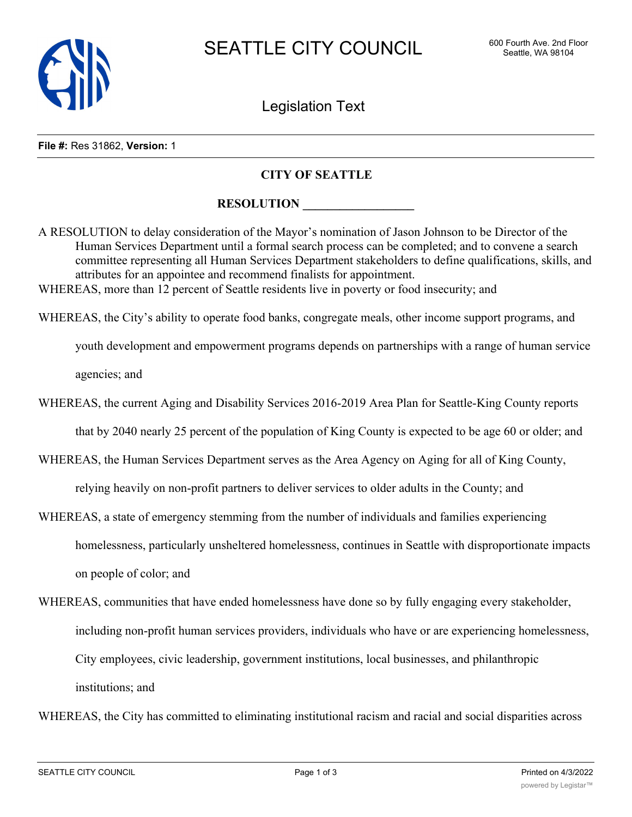

Legislation Text

## **File #:** Res 31862, **Version:** 1

## **CITY OF SEATTLE**

## **RESOLUTION**

A RESOLUTION to delay consideration of the Mayor's nomination of Jason Johnson to be Director of the Human Services Department until a formal search process can be completed; and to convene a search committee representing all Human Services Department stakeholders to define qualifications, skills, and attributes for an appointee and recommend finalists for appointment. WHEREAS, more than 12 percent of Seattle residents live in poverty or food insecurity; and

WHEREAS, the City's ability to operate food banks, congregate meals, other income support programs, and

youth development and empowerment programs depends on partnerships with a range of human service agencies; and

WHEREAS, the current Aging and Disability Services 2016-2019 Area Plan for Seattle-King County reports

that by 2040 nearly 25 percent of the population of King County is expected to be age 60 or older; and

- WHEREAS, the Human Services Department serves as the Area Agency on Aging for all of King County, relying heavily on non-profit partners to deliver services to older adults in the County; and
- WHEREAS, a state of emergency stemming from the number of individuals and families experiencing homelessness, particularly unsheltered homelessness, continues in Seattle with disproportionate impacts on people of color; and
- WHEREAS, communities that have ended homelessness have done so by fully engaging every stakeholder, including non-profit human services providers, individuals who have or are experiencing homelessness, City employees, civic leadership, government institutions, local businesses, and philanthropic institutions; and

WHEREAS, the City has committed to eliminating institutional racism and racial and social disparities across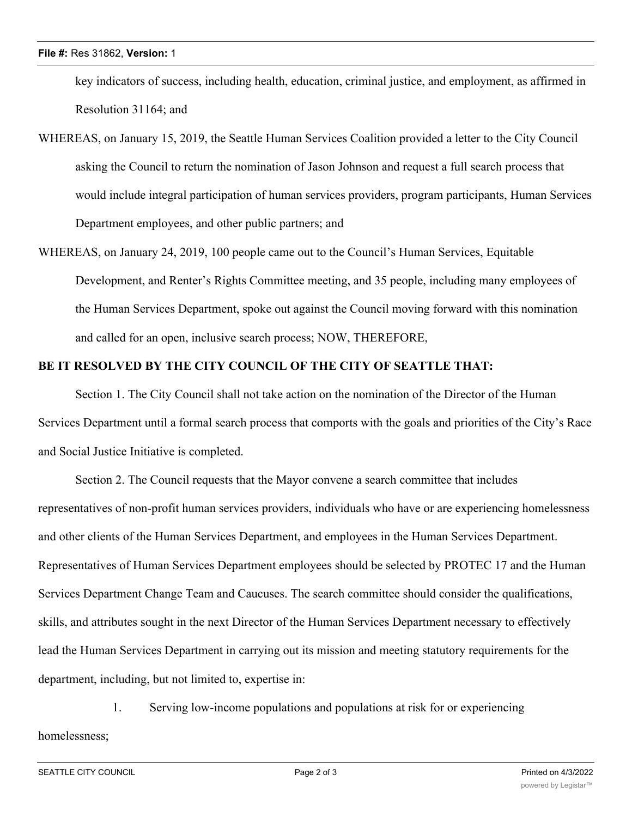key indicators of success, including health, education, criminal justice, and employment, as affirmed in Resolution 31164; and

- WHEREAS, on January 15, 2019, the Seattle Human Services Coalition provided a letter to the City Council asking the Council to return the nomination of Jason Johnson and request a full search process that would include integral participation of human services providers, program participants, Human Services Department employees, and other public partners; and
- WHEREAS, on January 24, 2019, 100 people came out to the Council's Human Services, Equitable Development, and Renter's Rights Committee meeting, and 35 people, including many employees of the Human Services Department, spoke out against the Council moving forward with this nomination and called for an open, inclusive search process; NOW, THEREFORE,

## **BE IT RESOLVED BY THE CITY COUNCIL OF THE CITY OF SEATTLE THAT:**

Section 1. The City Council shall not take action on the nomination of the Director of the Human Services Department until a formal search process that comports with the goals and priorities of the City's Race and Social Justice Initiative is completed.

Section 2. The Council requests that the Mayor convene a search committee that includes representatives of non-profit human services providers, individuals who have or are experiencing homelessness and other clients of the Human Services Department, and employees in the Human Services Department. Representatives of Human Services Department employees should be selected by PROTEC 17 and the Human Services Department Change Team and Caucuses. The search committee should consider the qualifications, skills, and attributes sought in the next Director of the Human Services Department necessary to effectively lead the Human Services Department in carrying out its mission and meeting statutory requirements for the department, including, but not limited to, expertise in:

1. Serving low-income populations and populations at risk for or experiencing homelessness;